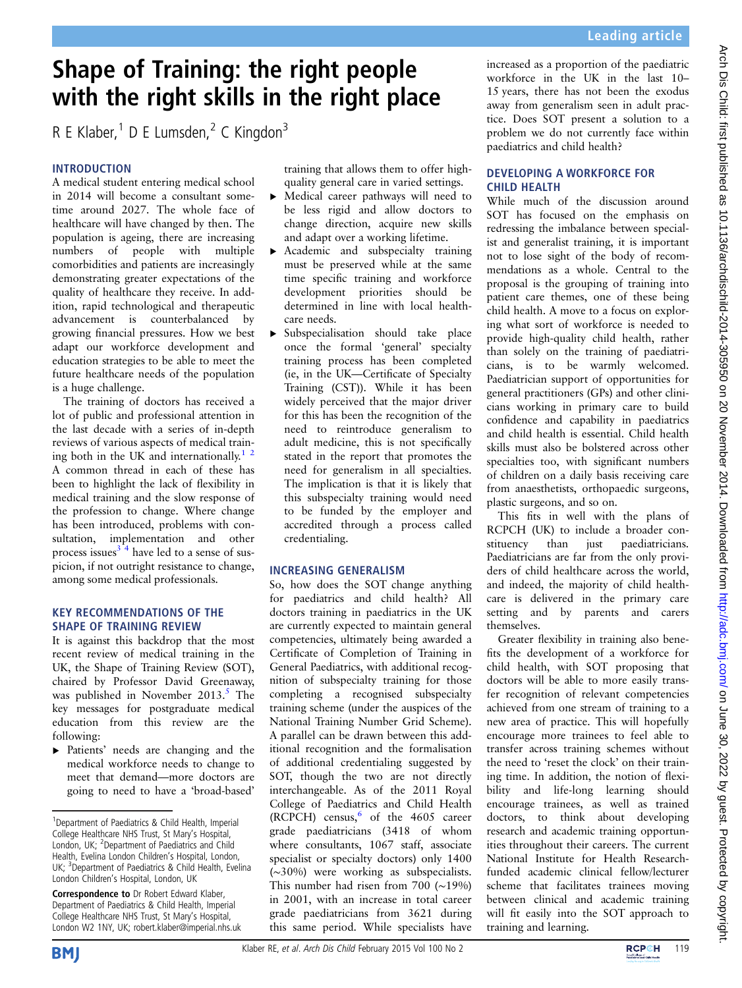# Shape of Training: the right people with the right skills in the right place

R E Klaber, $1$  D E Lumsden, $2$  C Kingdon $3$ 

# INTRODUCTION

A medical student entering medical school in 2014 will become a consultant sometime around 2027. The whole face of healthcare will have changed by then. The population is ageing, there are increasing numbers of people with multiple comorbidities and patients are increasingly demonstrating greater expectations of the quality of healthcare they receive. In addition, rapid technological and therapeutic advancement is counterbalanced by growing financial pressures. How we best adapt our workforce development and education strategies to be able to meet the future healthcare needs of the population is a huge challenge.

The training of doctors has received a lot of public and professional attention in the last decade with a series of in-depth reviews of various aspects of medical training both in the UK and internationally.<sup>1</sup> <sup>2</sup> A common thread in each of these has been to highlight the lack of flexibility in medical training and the slow response of the profession to change. Where change has been introduced, problems with consultation, implementation and other process issues $3^{\frac{3}{4}}$  have led to a sense of suspicion, if not outright resistance to change, among some medical professionals.

#### KEY RECOMMENDATIONS OF THE SHAPE OF TRAINING REVIEW

It is against this backdrop that the most recent review of medical training in the UK, the Shape of Training Review (SOT), chaired by Professor David Greenaway, was published in November  $2013<sup>5</sup>$  $2013<sup>5</sup>$  $2013<sup>5</sup>$ . The key messages for postgraduate medical education from this review are the following:

▸ Patients' needs are changing and the medical workforce needs to change to meet that demand—more doctors are going to need to have a 'broad-based'

Correspondence to Dr Robert Edward Klaber, Department of Paediatrics & Child Health, Imperial College Healthcare NHS Trust, St Mary's Hospital, London W2 1NY, UK; robert.klaber@imperial.nhs.uk training that allows them to offer highquality general care in varied settings.

- ▸ Medical career pathways will need to be less rigid and allow doctors to change direction, acquire new skills and adapt over a working lifetime.
- ▸ Academic and subspecialty training must be preserved while at the same time specific training and workforce development priorities should be determined in line with local healthcare needs.
- ▸ Subspecialisation should take place once the formal 'general' specialty training process has been completed (ie, in the UK—Certificate of Specialty Training (CST)). While it has been widely perceived that the major driver for this has been the recognition of the need to reintroduce generalism to adult medicine, this is not specifically stated in the report that promotes the need for generalism in all specialties. The implication is that it is likely that this subspecialty training would need to be funded by the employer and accredited through a process called credentialing.

# INCREASING GENERALISM

So, how does the SOT change anything for paediatrics and child health? All doctors training in paediatrics in the UK are currently expected to maintain general competencies, ultimately being awarded a Certificate of Completion of Training in General Paediatrics, with additional recognition of subspecialty training for those completing a recognised subspecialty training scheme (under the auspices of the National Training Number Grid Scheme). A parallel can be drawn between this additional recognition and the formalisation of additional credentialing suggested by SOT, though the two are not directly interchangeable. As of the 2011 Royal College of Paediatrics and Child Health (RCPCH) census, $6$  of the 4605 career grade paediatricians (3418 of whom where consultants, 1067 staff, associate specialist or specialty doctors) only 1400 (∼30%) were working as subspecialists. This number had risen from 700 (∼19%) in 2001, with an increase in total career grade paediatricians from 3621 during this same period. While specialists have

increased as a proportion of the paediatric workforce in the UK in the last 10– 15 years, there has not been the exodus away from generalism seen in adult practice. Does SOT present a solution to a problem we do not currently face within paediatrics and child health?

# DEVELOPING A WORKFORCE FOR CHILD HEALTH

While much of the discussion around SOT has focused on the emphasis on redressing the imbalance between specialist and generalist training, it is important not to lose sight of the body of recommendations as a whole. Central to the proposal is the grouping of training into patient care themes, one of these being child health. A move to a focus on exploring what sort of workforce is needed to provide high-quality child health, rather than solely on the training of paediatricians, is to be warmly welcomed. Paediatrician support of opportunities for general practitioners (GPs) and other clinicians working in primary care to build confidence and capability in paediatrics and child health is essential. Child health skills must also be bolstered across other specialties too, with significant numbers of children on a daily basis receiving care from anaesthetists, orthopaedic surgeons, plastic surgeons, and so on.

This fits in well with the plans of RCPCH (UK) to include a broader constituency than just paediatricians. Paediatricians are far from the only providers of child healthcare across the world, and indeed, the majority of child healthcare is delivered in the primary care setting and by parents and carers themselves.

Greater flexibility in training also benefits the development of a workforce for child health, with SOT proposing that doctors will be able to more easily transfer recognition of relevant competencies achieved from one stream of training to a new area of practice. This will hopefully encourage more trainees to feel able to transfer across training schemes without the need to 'reset the clock' on their training time. In addition, the notion of flexibility and life-long learning should encourage trainees, as well as trained doctors, to think about developing research and academic training opportunities throughout their careers. The current National Institute for Health Researchfunded academic clinical fellow/lecturer scheme that facilitates trainees moving between clinical and academic training will fit easily into the SOT approach to training and learning.





<sup>&</sup>lt;sup>1</sup>Department of Paediatrics & Child Health, Imperial College Healthcare NHS Trust, St Mary's Hospital, London, UK; <sup>2</sup>Department of Paediatrics and Child Health, Evelina London Children's Hospital, London, UK; <sup>3</sup>Department of Paediatrics & Child Health, Evelina London Children's Hospital, London, UK